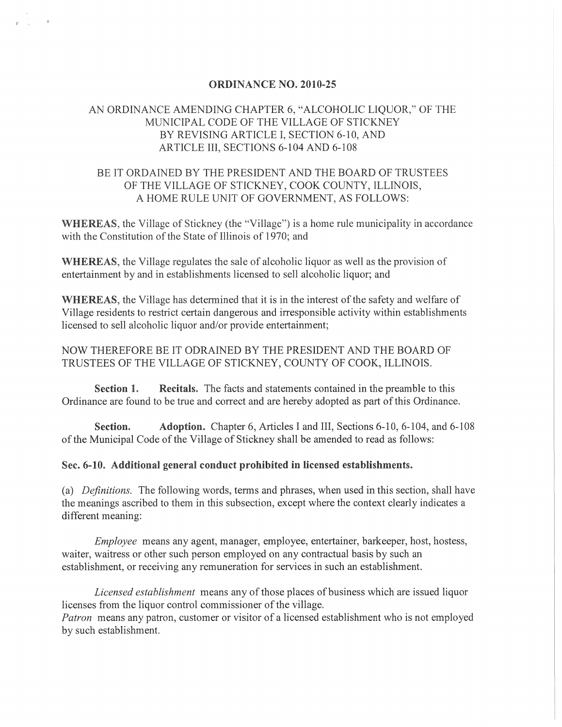#### ORDINANCE NO. 2010-25

## AN ORDINANCE AMENDING CHAPTER 6, "ALCOHOLIC LIQUOR," OF THE MUNICIP AL CODE OF THE VILLAGE OF STICKNEY BY REVISING ARTICLE I, SECTION 6-10, AND ARTICLE III, SECTIONS 6-104 AND 6-108

## BE IT ORDAINED BY THE PRESIDENT AND THE BOARD OF TRUSTEES OF THE VILLAGE OF STICKNEY, COOK COUNTY, ILLINOIS, A HOME RULE UNIT OF GOVERNMENT, AS FOLLOWS:

WHEREAS, the Village of Stickney (the "Village") is a home rule municipality in accordance with the Constitution of the State of Illinois of 1970; and

WHEREAS, the Village regulates the sale of alcoholic liquor as well as the provision of entertainment by and in establishments licensed to sell alcoholic liquor; and

WHEREAS, the Village has determined that it is in the interest of the safety and welfare of Village residents to restrict certain dangerous and irresponsible activity within establishments licensed to sell alcoholic liquor and/or provide entertainment;

### NOW THEREFORE BE IT ODRAINED BY THE PRESIDENT AND THE BOARD OF TRUSTEES OF THE VILLAGE OF STICKNEY, COUNTY OF COOK, ILLINOIS.

Section 1. Recitals. The facts and statements contained in the preamble to this Ordinance are found to be true and correct and are hereby adopted as part of this Ordinance.

Section. Adoption. Chapter 6, Articles I and III, Sections 6-10, 6-104, and 6-108 of the Municipal Code of the Village of Stickney shall be amended to read as follows:

#### Sec. 6-10. Additional general conduct prohibited in licensed establishments.

(a) *Definitions.* The following words, terms and phrases, when used in this section, shall have the meanings ascribed to them in this subsection, except where the context clearly indicates a different meaning:

*Employee* means any agent, manager, employee, entertainer, barkeeper, host, hostess, waiter, waitress or other such person employed on any contractual basis by such an establishment, or receiving any remuneration for services in such an establishment.

*Licensed establishment* means any of those places of business which are issued liquor licenses from the liquor control commissioner of the village. *Patron* means any patron, customer or visitor of a licensed establishment who is not employed by such establishment.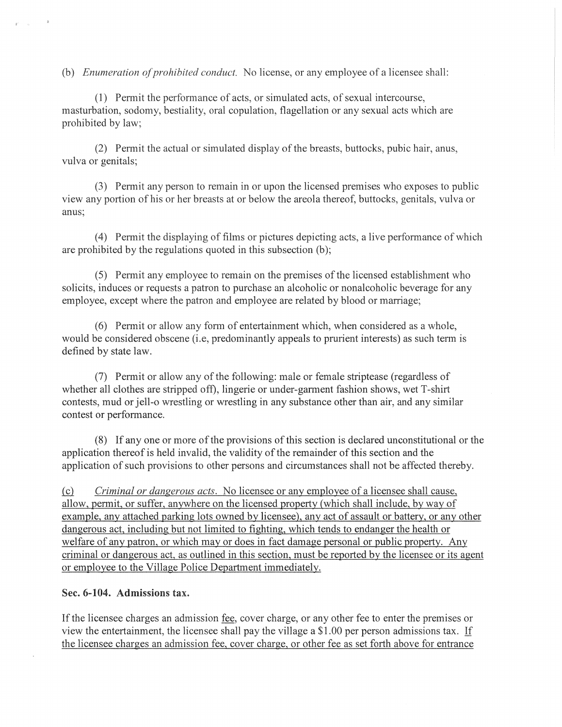(b) *Enumeration of prohibited conduct.* No license, or any employee of a licensee shall:

(1) Permit the performance of acts, or simulated acts, of sexual intercourse, masturbation, sodomy, bestiality, oral copulation, flagellation or any sexual acts which are prohibited by law;

(2) Permit the actual or simulated display of the breasts, buttocks, pubic hair, anus, vulva or genitals;

(3) Permit any person to remain in or upon the licensed premises who exposes to public view any portion of his or her breasts at or below the areola thereof, buttocks, genitals, vulva or anus;

(4) Permit the displaying of films or pictures depicting acts, a live performance of which are prohibited by the regulations quoted in this subsection (b);

(5) Permit any employee to remain on the premises of the licensed establishment who solicits, induces or requests a patron to purchase an alcoholic or nonalcoholic beverage for any employee, except where the patron and employee are related by blood or marriage;

(6) Permit or allow any form of entertainment which, when considered as a whole, would be considered obscene (i.e, predominantly appeals to prurient interests) as such term is defined by state law.

(7) Permit or allow any of the following: male or female striptease (regardless of whether all clothes are stripped off), lingerie or under-garment fashion shows, wet T-shirt contests, mud or jell-o wrestling or wrestling in any substance other than air, and any similar contest or performance.

(8) If anyone or more of the provisions of this section is declared unconstitutional or the application thereof is held invalid, the validity of the remainder of this section and the application of such provisions to other persons and circumstances shall not be affected thereby.

(c) *Criminal or dangerous acts.* No licensee or any employee of a licensee shall cause, allow, permit, or suffer, anywhere on the licensed property (which shall include, by way of example, any attached parking lots owned by licensee), any act of assault or battery, or any other dangerous act, including but not limited to fighting, which tends to endanger the health or welfare of any patron, or which mayor does in fact damage personal or public property. Any criminal or dangerous act, as outlined in this section, must be reported by the licensee or its agent or employee to the Village Police Department immediately.

#### Sec. 6-104. Admissions tax.

If the licensee charges an admission fee, cover charge, or any other fee to enter the premises or view the entertainment, the licensee shall pay the village a \$1.00 per person admissions tax. If the licensee charges an admission fee, cover charge, or other fee as set forth above for entrance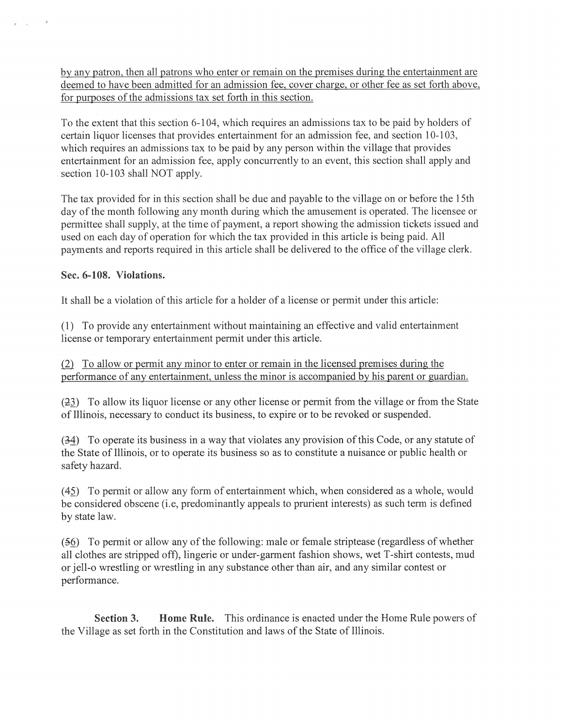by any patron, then all patrons who enter or remain on the premises during the entertainment are deemed to have been admitted for an admission fee, cover charge, or other fee as set forth above, for purposes of the admissions tax set forth in this section.

To the extent that this section 6-104, which requires an admissions tax to be paid by holders of certain liquor licenses that provides entertainment for an admission fee, and section 10-103, which requires an admissions tax to be paid by any person within the village that provides entertainment for an admission fee, apply concurrently to an event, this section shall apply and section 10-103 shall NOT apply.

The tax provided for in this section shall be due and payable to the village on or before the 15th day of the month following any month during which the amusement is operated. The licensee or permittee shall supply, at the time of payment, a report showing the admission tickets issued and used on each day of operation for which the tax provided in this article is being paid. All payments and reports required in this article shall be delivered to the office of the village clerk.

# **Sec. 6-108. Violations.**

It shall be a violation of this article for a holder of a license or permit under this article:

(1) To provide any entertainment without maintaining an effective and valid entertainment license or temporary entertainment permit under this article.

 $\alpha$  To allow or permit any minor to enter or remain in the licensed premises during the performance of any entertainment, unless the minor is accompanied by his parent or guardian.

(23) To allow its liquor license or any other license or permit from the village or from the State of Illinois, necessary to conduct its business, to expire or to be revoked or suspended.

(34) To operate its business in a way that violates any provision of this Code, or any statute of the State of Illinois, or to operate its business so as to constitute a nuisance or public health or safety hazard.

(45) To permit or allow any form of entertainment which, when considered as a whole, would be considered obscene (i.e, predominantly appeals to prurient interests) as such term is defined by state law.

 $(56)$  To permit or allow any of the following: male or female striptease (regardless of whether all clothes are stripped off), lingerie or under-garment fashion shows, wet T-shirt contests, mud or jell-o wrestling or wrestling in any substance other than air, and any similar contest or performance.

**Section 3. Home Rule.** This ordinance is enacted under the Home Rule powers of the Village as set forth in the Constitution and laws of the State of Illinois.